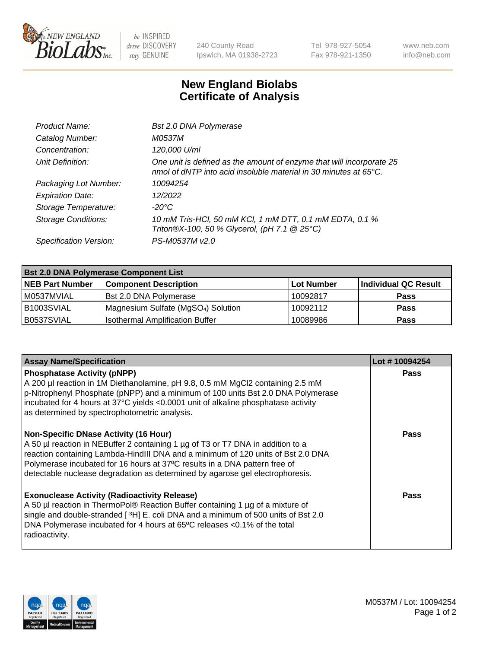

 $be$  INSPIRED drive DISCOVERY stay GENUINE

240 County Road Ipswich, MA 01938-2723 Tel 978-927-5054 Fax 978-921-1350 www.neb.com info@neb.com

## **New England Biolabs Certificate of Analysis**

| Bst 2.0 DNA Polymerase                                                                                                                   |
|------------------------------------------------------------------------------------------------------------------------------------------|
| M0537M                                                                                                                                   |
| 120,000 U/ml                                                                                                                             |
| One unit is defined as the amount of enzyme that will incorporate 25<br>nmol of dNTP into acid insoluble material in 30 minutes at 65°C. |
| 10094254                                                                                                                                 |
| 12/2022                                                                                                                                  |
| -20°C                                                                                                                                    |
| 10 mM Tris-HCl, 50 mM KCl, 1 mM DTT, 0.1 mM EDTA, 0.1 %<br>Triton®X-100, 50 % Glycerol, (pH 7.1 @ 25°C)                                  |
| PS-M0537M v2.0                                                                                                                           |
|                                                                                                                                          |

| <b>Bst 2.0 DNA Polymerase Component List</b> |                                                 |                   |                      |  |  |
|----------------------------------------------|-------------------------------------------------|-------------------|----------------------|--|--|
| <b>NEB Part Number</b>                       | <b>Component Description</b>                    | <b>Lot Number</b> | Individual QC Result |  |  |
| IM0537MVIAL                                  | <b>Bst 2.0 DNA Polymerase</b>                   | 10092817          | <b>Pass</b>          |  |  |
| B1003SVIAL                                   | Magnesium Sulfate (MgSO <sub>4</sub> ) Solution | 10092112          | <b>Pass</b>          |  |  |
| B0537SVIAL                                   | <b>Isothermal Amplification Buffer</b>          | 10089986          | <b>Pass</b>          |  |  |

| <b>Assay Name/Specification</b>                                                                                                                                                                                                                                                                                                                                                    | Lot #10094254 |
|------------------------------------------------------------------------------------------------------------------------------------------------------------------------------------------------------------------------------------------------------------------------------------------------------------------------------------------------------------------------------------|---------------|
| <b>Phosphatase Activity (pNPP)</b><br>A 200 µl reaction in 1M Diethanolamine, pH 9.8, 0.5 mM MgCl2 containing 2.5 mM<br>$\vert$ p-Nitrophenyl Phosphate (pNPP) and a minimum of 100 units Bst 2.0 DNA Polymerase<br>incubated for 4 hours at 37°C yields <0.0001 unit of alkaline phosphatase activity<br>as determined by spectrophotometric analysis.                            | <b>Pass</b>   |
| <b>Non-Specific DNase Activity (16 Hour)</b><br>A 50 µl reaction in NEBuffer 2 containing 1 µg of T3 or T7 DNA in addition to a<br>reaction containing Lambda-HindIII DNA and a minimum of 120 units of Bst 2.0 DNA<br>Polymerase incubated for 16 hours at 37°C results in a DNA pattern free of<br>detectable nuclease degradation as determined by agarose gel electrophoresis. | Pass          |
| <b>Exonuclease Activity (Radioactivity Release)</b><br>A 50 µl reaction in ThermoPol® Reaction Buffer containing 1 µg of a mixture of<br>single and double-stranded [3H] E. coli DNA and a minimum of 500 units of Bst 2.0<br>DNA Polymerase incubated for 4 hours at 65°C releases <0.1% of the total<br>radioactivity.                                                           | Pass          |